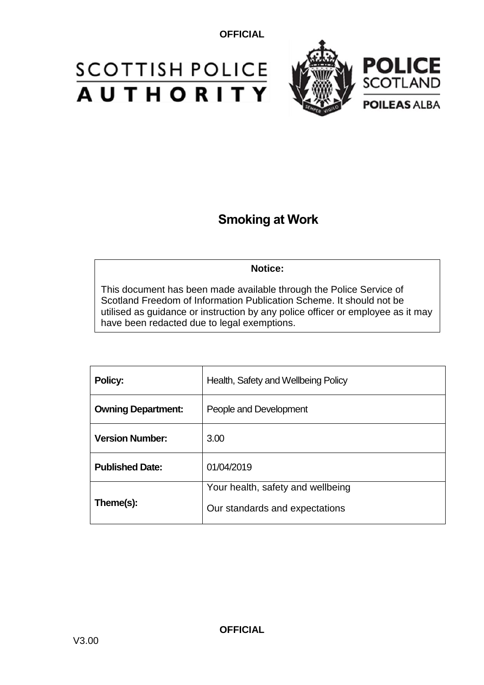# **SCOTTISH POLICE AUTHORITY**



## **Smoking at Work**

#### **Notice:**

This document has been made available through the Police Service of Scotland Freedom of Information Publication Scheme. It should not be utilised as guidance or instruction by any police officer or employee as it may have been redacted due to legal exemptions.

| Policy:                   | Health, Safety and Wellbeing Policy                                 |
|---------------------------|---------------------------------------------------------------------|
| <b>Owning Department:</b> | People and Development                                              |
| <b>Version Number:</b>    | 3.00                                                                |
| <b>Published Date:</b>    | 01/04/2019                                                          |
| Theme(s):                 | Your health, safety and wellbeing<br>Our standards and expectations |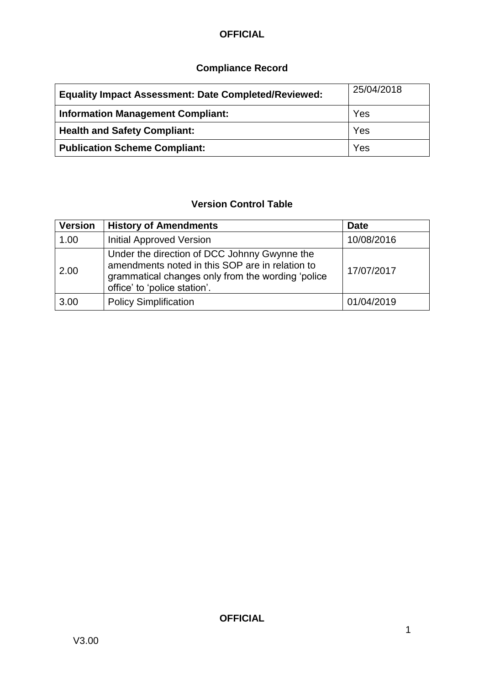### **Compliance Record**

| <b>Equality Impact Assessment: Date Completed/Reviewed:</b> | 25/04/2018 |
|-------------------------------------------------------------|------------|
| <b>Information Management Compliant:</b>                    | Yes        |
| <b>Health and Safety Compliant:</b>                         | Yes        |
| <b>Publication Scheme Compliant:</b>                        | Yes        |

### **Version Control Table**

| <b>Version</b> | <b>History of Amendments</b>                                                                                                                                                         | <b>Date</b> |
|----------------|--------------------------------------------------------------------------------------------------------------------------------------------------------------------------------------|-------------|
| 1.00           | <b>Initial Approved Version</b>                                                                                                                                                      | 10/08/2016  |
| 2.00           | Under the direction of DCC Johnny Gwynne the<br>amendments noted in this SOP are in relation to<br>grammatical changes only from the wording 'police<br>office' to 'police station'. | 17/07/2017  |
| 3.00           | <b>Policy Simplification</b>                                                                                                                                                         | 01/04/2019  |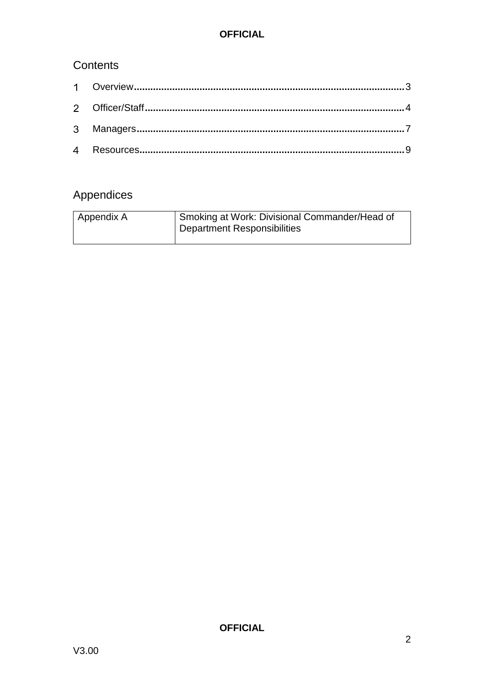### Contents

## Appendices

| l Appendix A | Smoking at Work: Divisional Commander/Head of<br><b>Department Responsibilities</b> |
|--------------|-------------------------------------------------------------------------------------|
|              |                                                                                     |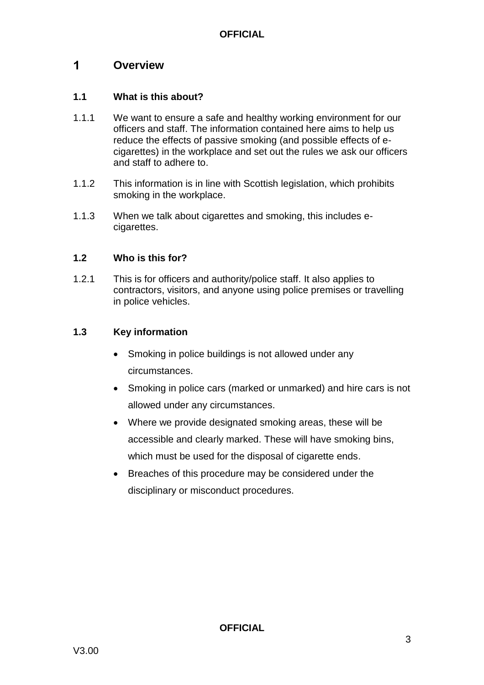#### <span id="page-3-0"></span> $\mathbf 1$ **Overview**

#### **1.1 What is this about?**

- 1.1.1 We want to ensure a safe and healthy working environment for our officers and staff. The information contained here aims to help us reduce the effects of passive smoking (and possible effects of ecigarettes) in the workplace and set out the rules we ask our officers and staff to adhere to.
- 1.1.2 This information is in line with Scottish legislation, which prohibits smoking in the workplace.
- 1.1.3 When we talk about cigarettes and smoking, this includes ecigarettes.

#### **1.2 Who is this for?**

1.2.1 This is for officers and authority/police staff. It also applies to contractors, visitors, and anyone using police premises or travelling in police vehicles.

#### **1.3 Key information**

- Smoking in police buildings is not allowed under any circumstances.
- Smoking in police cars (marked or unmarked) and hire cars is not allowed under any circumstances.
- Where we provide designated smoking areas, these will be accessible and clearly marked. These will have smoking bins, which must be used for the disposal of cigarette ends.
- Breaches of this procedure may be considered under the disciplinary or misconduct procedures.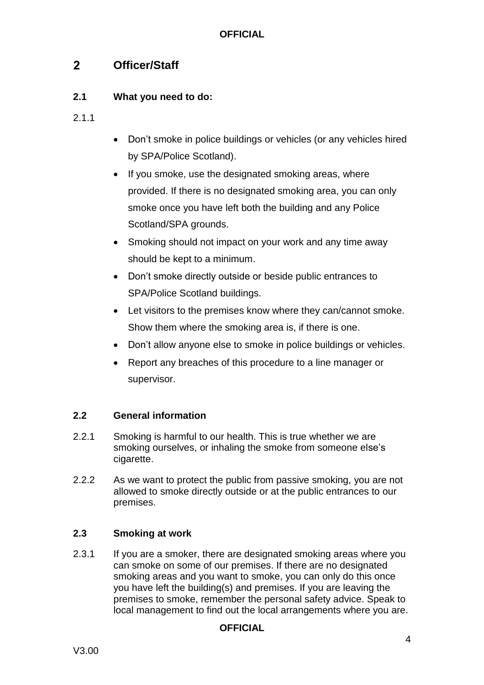#### <span id="page-4-0"></span> $2<sup>1</sup>$ **Officer/Staff**

#### **2.1 What you need to do:**

- 2.1.1
- Don't smoke in police buildings or vehicles (or any vehicles hired by SPA/Police Scotland).
- If you smoke, use the designated smoking areas, where provided. If there is no designated smoking area, you can only smoke once you have left both the building and any Police Scotland/SPA grounds.
- Smoking should not impact on your work and any time away should be kept to a minimum.
- Don't smoke directly outside or beside public entrances to SPA/Police Scotland buildings.
- Let visitors to the premises know where they can/cannot smoke. Show them where the smoking area is, if there is one.
- Don't allow anyone else to smoke in police buildings or vehicles.
- Report any breaches of this procedure to a line manager or supervisor.

#### **2.2 General information**

- 2.2.1 Smoking is harmful to our health. This is true whether we are smoking ourselves, or inhaling the smoke from someone else's cigarette.
- 2.2.2 As we want to protect the public from passive smoking, you are not allowed to smoke directly outside or at the public entrances to our premises.

#### **2.3 Smoking at work**

2.3.1 If you are a smoker, there are designated smoking areas where you can smoke on some of our premises. If there are no designated smoking areas and you want to smoke, you can only do this once you have left the building(s) and premises. If you are leaving the premises to smoke, remember the personal safety advice. Speak to local management to find out the local arrangements where you are.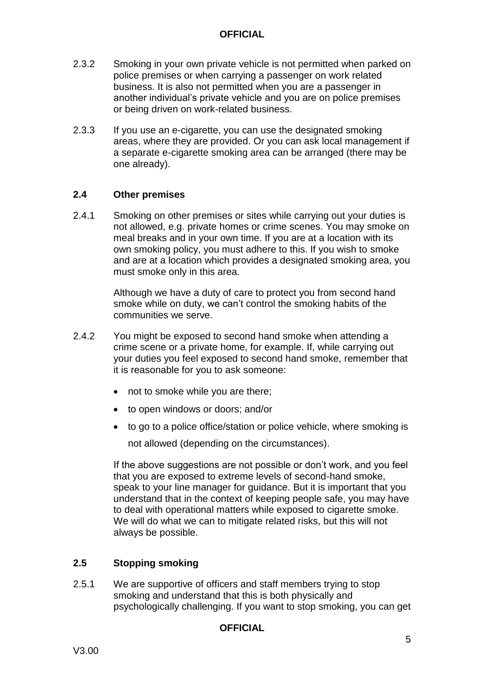- 2.3.2 Smoking in your own private vehicle is not permitted when parked on police premises or when carrying a passenger on work related business. It is also not permitted when you are a passenger in another individual's private vehicle and you are on police premises or being driven on work-related business.
- 2.3.3 If you use an e-cigarette, you can use the designated smoking areas, where they are provided. Or you can ask local management if a separate e-cigarette smoking area can be arranged (there may be one already).

#### **2.4 Other premises**

2.4.1 Smoking on other premises or sites while carrying out your duties is not allowed, e.g. private homes or crime scenes. You may smoke on meal breaks and in your own time. If you are at a location with its own smoking policy, you must adhere to this. If you wish to smoke and are at a location which provides a designated smoking area, you must smoke only in this area.

> Although we have a duty of care to protect you from second hand smoke while on duty, we can't control the smoking habits of the communities we serve.

- 2.4.2 You might be exposed to second hand smoke when attending a crime scene or a private home, for example. If, while carrying out your duties you feel exposed to second hand smoke, remember that it is reasonable for you to ask someone:
	- not to smoke while you are there;
	- to open windows or doors; and/or
	- to go to a police office/station or police vehicle, where smoking is

not allowed (depending on the circumstances).

If the above suggestions are not possible or don't work, and you feel that you are exposed to extreme levels of second-hand smoke, speak to your line manager for guidance. But it is important that you understand that in the context of keeping people safe, you may have to deal with operational matters while exposed to cigarette smoke. We will do what we can to mitigate related risks, but this will not always be possible.

#### **2.5 Stopping smoking**

2.5.1 We are supportive of officers and staff members trying to stop smoking and understand that this is both physically and psychologically challenging. If you want to stop smoking, you can get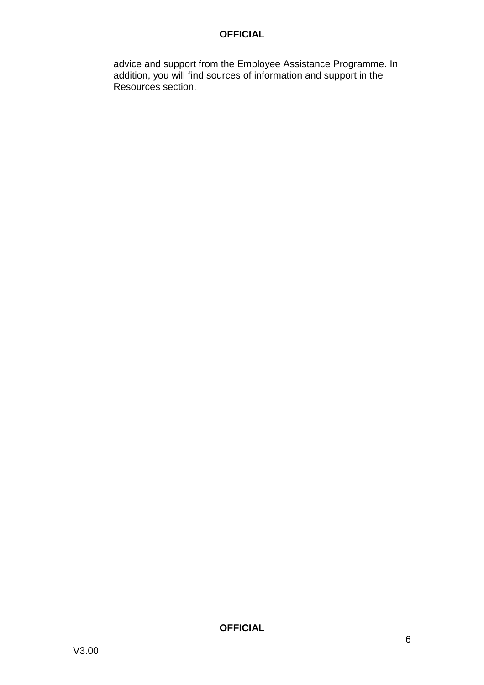advice and support from the Employee Assistance Programme. In addition, you will find sources of information and support in the Resources section.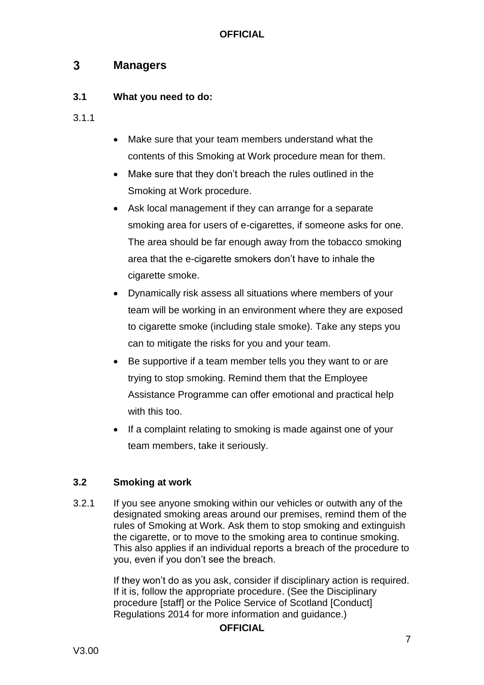#### <span id="page-7-0"></span> $3<sup>1</sup>$ **Managers**

#### **3.1 What you need to do:**

- 3.1.1
- Make sure that your team members understand what the contents of this Smoking at Work procedure mean for them.
- Make sure that they don't breach the rules outlined in the Smoking at Work procedure.
- Ask local management if they can arrange for a separate smoking area for users of e-cigarettes, if someone asks for one. The area should be far enough away from the tobacco smoking area that the e-cigarette smokers don't have to inhale the cigarette smoke.
- Dynamically risk assess all situations where members of your team will be working in an environment where they are exposed to cigarette smoke (including stale smoke). Take any steps you can to mitigate the risks for you and your team.
- Be supportive if a team member tells you they want to or are trying to stop smoking. Remind them that the Employee Assistance Programme can offer emotional and practical help with this too.
- If a complaint relating to smoking is made against one of your team members, take it seriously.

### **3.2 Smoking at work**

3.2.1 If you see anyone smoking within our vehicles or outwith any of the designated smoking areas around our premises, remind them of the rules of Smoking at Work. Ask them to stop smoking and extinguish the cigarette, or to move to the smoking area to continue smoking. This also applies if an individual reports a breach of the procedure to you, even if you don't see the breach.

> If they won't do as you ask, consider if disciplinary action is required. If it is, follow the appropriate procedure. (See the Disciplinary procedure [staff] or the Police Service of Scotland [Conduct] Regulations 2014 for more information and guidance.)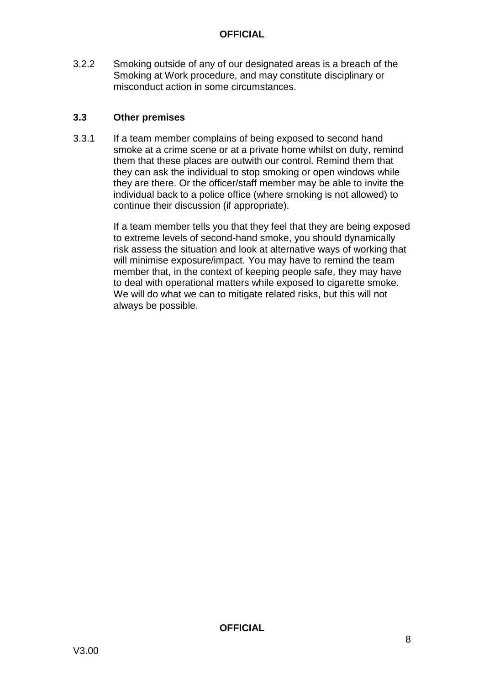3.2.2 Smoking outside of any of our designated areas is a breach of the Smoking at Work procedure, and may constitute disciplinary or misconduct action in some circumstances.

#### **3.3 Other premises**

3.3.1 If a team member complains of being exposed to second hand smoke at a crime scene or at a private home whilst on duty, remind them that these places are outwith our control. Remind them that they can ask the individual to stop smoking or open windows while they are there. Or the officer/staff member may be able to invite the individual back to a police office (where smoking is not allowed) to continue their discussion (if appropriate).

> If a team member tells you that they feel that they are being exposed to extreme levels of second-hand smoke, you should dynamically risk assess the situation and look at alternative ways of working that will minimise exposure/impact. You may have to remind the team member that, in the context of keeping people safe, they may have to deal with operational matters while exposed to cigarette smoke. We will do what we can to mitigate related risks, but this will not always be possible.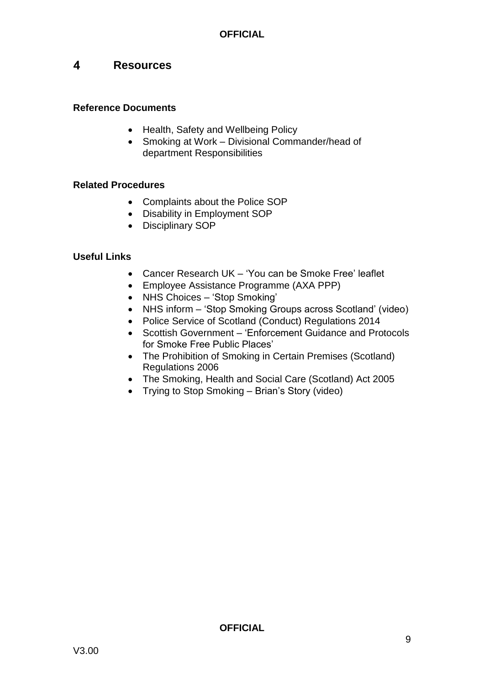#### <span id="page-9-0"></span> $\overline{\mathbf{4}}$ **Resources**

#### **Reference Documents**

- Health, [Safety and Wellbeing Policy](https://spi.spnet.local/policescotland/guidance/Policies/Health,%20Safety%20and%20Wellbeing%20Policy.pdf)
- Smoking at Work Divisional Commander/head of department Responsibilities

#### **Related Procedures**

- [Complaints about the Police SOP](https://spi.spnet.local/policescotland/guidance/Standard%20Operating%20Procedures/Complaints%20About%20the%20Police%20PSoS%20SOP.pdf)
- [Disability in Employment SOP](https://spi.spnet.local/policescotland/guidance/Standard%20Operating%20Procedures/Disability%20in%20Employment%20SOP.pdf)
- [Disciplinary SOP](https://spi.spnet.local/policescotland/guidance/Standard%20Operating%20Procedures/Disciplinary%20SOP.pdf)

#### **Useful Links**

- Cancer Research UK ['You can be Smoke Free' leaflet](https://publications.cancerresearchuk.org/sites/default/files/publication-files/CRUK%20-%20Cut%20Your%20Cancer%20Risk%20-%20Smoking%20Leaflet.pdf)
- [Employee Assistance Programme \(AXA PPP\)](https://spi.spnet.local/commonservices/people-and-development/wellbeing/Pages/AXA-PPP-Newsletters.aspx)
- [NHS Choices –](https://www.nhs.uk/livewell/smoking/Pages/stopsmokingnewhome.aspx) 'Stop Smoking'
- NHS inform ['Stop Smoking Groups across Scotland' \(video\)](https://www.youtube.com/watch?v=eyX1Rgs0vMg)
- [Police Service of Scotland \(Conduct\) Regulations 2014](http://www.legislation.gov.uk/ssi/2014/68/contents/made)
- Scottish Government 'Enforcement Guidance and Protocols for Smoke Free Public Places'
- The Prohibition of Smoking in Certain Premises (Scotland) [Regulations 2006](http://www.legislation.gov.uk/ssi/2006/90/contents/made)
- [The Smoking, Health and Social Care \(Scotland\) Act 2005](https://www.legislation.gov.uk/asp/2005/13/contents)
- [Trying to Stop Smoking –](https://www.youtube.com/watch?v=ErNd6iZG-bg) Brian's Story (video)